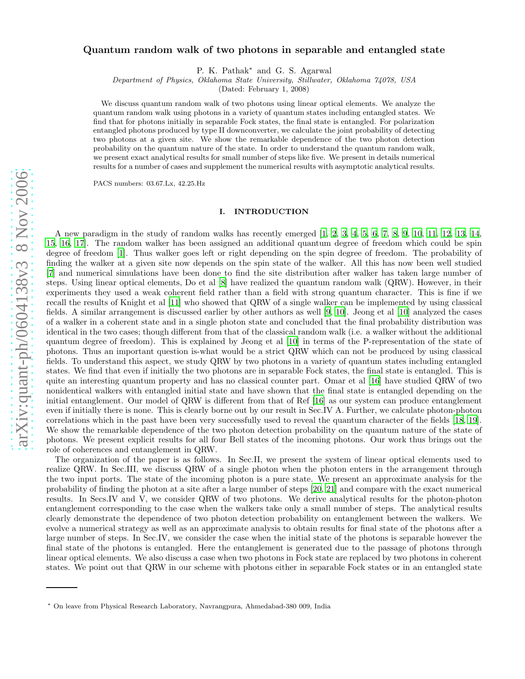# arXiv:quant-ph/0604138v3 8 Nov 2006 [arXiv:quant-ph/0604138v3 8 Nov 2006](http://arXiv.org/abs/quant-ph/0604138v3)

# Quantum random walk of two photons in separable and entangled state

P. K. Pathak ∗ and G. S. Agarwal

Department of Physics, Oklahoma State University, Stillwater, Oklahoma 74078, USA

(Dated: February 1, 2008)

We discuss quantum random walk of two photons using linear optical elements. We analyze the quantum random walk using photons in a variety of quantum states including entangled states. We find that for photons initially in separable Fock states, the final state is entangled. For polarization entangled photons produced by type II downconverter, we calculate the joint probability of detecting two photons at a given site. We show the remarkable dependence of the two photon detection probability on the quantum nature of the state. In order to understand the quantum random walk, we present exact analytical results for small number of steps like five. We present in details numerical results for a number of cases and supplement the numerical results with asymptotic analytical results.

PACS numbers: 03.67.Lx, 42.25.Hz

### I. INTRODUCTION

A new paradigm in the study of random walks has recently emerged [\[1,](#page-13-0) [2,](#page-13-1) [3](#page-13-2), [4](#page-13-3), [5,](#page-13-4) [6,](#page-13-5) [7,](#page-13-6) [8,](#page-13-7) [9](#page-14-0), [10](#page-14-1), [11,](#page-14-2) [12,](#page-14-3) [13,](#page-14-4) [14](#page-14-5), [15,](#page-14-6) [16](#page-14-7), [17](#page-14-8)]. The random walker has been assigned an additional quantum degree of freedom which could be spin degree of freedom [\[1\]](#page-13-0). Thus walker goes left or right depending on the spin degree of freedom. The probability of finding the walker at a given site now depends on the spin state of the walker. All this has now been well studied [\[7\]](#page-13-6) and numerical simulations have been done to find the site distribution after walker has taken large number of steps. Using linear optical elements, Do et al [\[8\]](#page-13-7) have realized the quantum random walk (QRW). However, in their experiments they used a weak coherent field rather than a field with strong quantum character. This is fine if we recall the results of Knight et al [\[11\]](#page-14-2) who showed that QRW of a single walker can be implemented by using classical fields. A similar arrangement is discussed earlier by other authors as well [\[9,](#page-14-0) [10\]](#page-14-1). Jeong et al [\[10\]](#page-14-1) analyzed the cases of a walker in a coherent state and in a single photon state and concluded that the final probability distribution was identical in the two cases; though different from that of the classical random walk (i.e. a walker without the additional quantum degree of freedom). This is explained by Jeong et al [\[10\]](#page-14-1) in terms of the P-representation of the state of photons. Thus an important question is-what would be a strict QRW which can not be produced by using classical fields. To understand this aspect, we study QRW by two photons in a variety of quantum states including entangled states. We find that even if initially the two photons are in separable Fock states, the final state is entangled. This is quite an interesting quantum property and has no classical counter part. Omar et al [\[16\]](#page-14-7) have studied QRW of two nonidentical walkers with entangled initial state and have shown that the final state is entangled depending on the initial entanglement. Our model of QRW is different from that of Ref [\[16](#page-14-7)] as our system can produce entanglement even if initially there is none. This is clearly borne out by our result in Sec.IV A. Further, we calculate photon-photon correlations which in the past have been very successfully used to reveal the quantum character of the fields [\[18,](#page-14-9) [19\]](#page-14-10). We show the remarkable dependence of the two photon detection probability on the quantum nature of the state of photons. We present explicit results for all four Bell states of the incoming photons. Our work thus brings out the role of coherences and entanglement in QRW.

The organization of the paper is as follows. In Sec.II, we present the system of linear optical elements used to realize QRW. In Sec.III, we discuss QRW of a single photon when the photon enters in the arrangement through the two input ports. The state of the incoming photon is a pure state. We present an approximate analysis for the probability of finding the photon at a site after a large number of steps [\[20](#page-14-11), [21\]](#page-14-12) and compare with the exact numerical results. In Secs.IV and V, we consider QRW of two photons. We derive analytical results for the photon-photon entanglement corresponding to the case when the walkers take only a small number of steps. The analytical results clearly demonstrate the dependence of two photon detection probability on entanglement between the walkers. We evolve a numerical strategy as well as an approximate analysis to obtain results for final state of the photons after a large number of steps. In Sec.IV, we consider the case when the initial state of the photons is separable however the final state of the photons is entangled. Here the entanglement is generated due to the passage of photons through linear optical elements. We also discuss a case when two photons in Fock state are replaced by two photons in coherent states. We point out that QRW in our scheme with photons either in separable Fock states or in an entangled state

<sup>∗</sup> On leave from Physical Research Laboratory, Navrangpura, Ahmedabad-380 009, India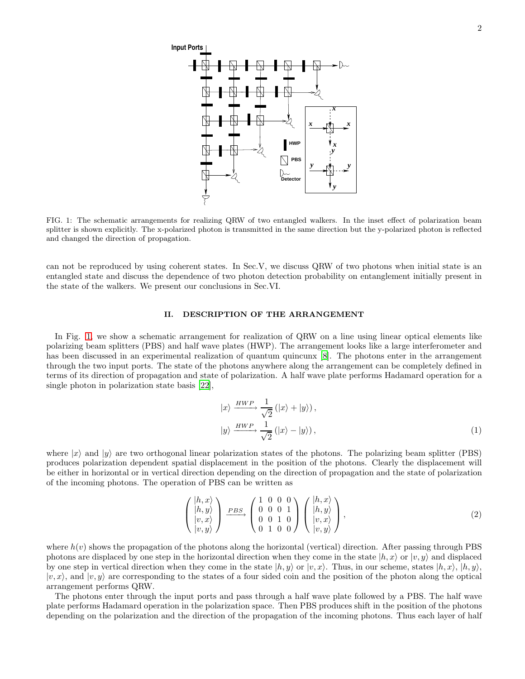

<span id="page-1-0"></span>FIG. 1: The schematic arrangements for realizing QRW of two entangled walkers. In the inset effect of polarization beam splitter is shown explicitly. The x-polarized photon is transmitted in the same direction but the y-polarized photon is reflected and changed the direction of propagation.

can not be reproduced by using coherent states. In Sec.V, we discuss QRW of two photons when initial state is an entangled state and discuss the dependence of two photon detection probability on entanglement initially present in the state of the walkers. We present our conclusions in Sec.VI.

### II. DESCRIPTION OF THE ARRANGEMENT

In Fig. [1,](#page-1-0) we show a schematic arrangement for realization of QRW on a line using linear optical elements like polarizing beam splitters (PBS) and half wave plates (HWP). The arrangement looks like a large interferometer and has been discussed in an experimental realization of quantum quincunx [\[8\]](#page-13-7). The photons enter in the arrangement through the two input ports. The state of the photons anywhere along the arrangement can be completely defined in terms of its direction of propagation and state of polarization. A half wave plate performs Hadamard operation for a single photon in polarization state basis [\[22\]](#page-14-13),

$$
|x\rangle \xrightarrow{HWP} \frac{1}{\sqrt{2}} (|x\rangle + |y\rangle),
$$
  

$$
|y\rangle \xrightarrow{HWP} \frac{1}{\sqrt{2}} (|x\rangle - |y\rangle),
$$
 (1)

where  $|x\rangle$  and  $|y\rangle$  are two orthogonal linear polarization states of the photons. The polarizing beam splitter (PBS) produces polarization dependent spatial displacement in the position of the photons. Clearly the displacement will be either in horizontal or in vertical direction depending on the direction of propagation and the state of polarization of the incoming photons. The operation of PBS can be written as

$$
\begin{pmatrix} |h, x\rangle \\ |h, y\rangle \\ |v, x\rangle \\ |v, y\rangle \end{pmatrix} \xrightarrow{PBS} \begin{pmatrix} 1 & 0 & 0 & 0 \\ 0 & 0 & 0 & 1 \\ 0 & 0 & 1 & 0 \\ 0 & 1 & 0 & 0 \end{pmatrix} \begin{pmatrix} |h, x\rangle \\ |h, y\rangle \\ |v, x\rangle \\ |v, y\rangle \end{pmatrix},
$$
(2)

where  $h(v)$  shows the propagation of the photons along the horizontal (vertical) direction. After passing through PBS photons are displaced by one step in the horizontal direction when they come in the state  $|h, x\rangle$  or  $|v, y\rangle$  and displaced by one step in vertical direction when they come in the state  $|h, y\rangle$  or  $|v, x\rangle$ . Thus, in our scheme, states  $|h, x\rangle$ ,  $|h, y\rangle$ ,  $|v, x\rangle$ , and  $|v, y\rangle$  are corresponding to the states of a four sided coin and the position of the photon along the optical arrangement performs QRW.

The photons enter through the input ports and pass through a half wave plate followed by a PBS. The half wave plate performs Hadamard operation in the polarization space. Then PBS produces shift in the position of the photons depending on the polarization and the direction of the propagation of the incoming photons. Thus each layer of half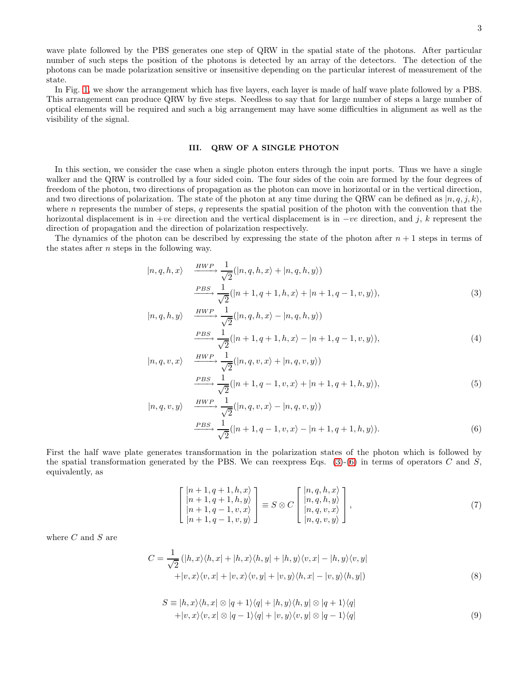wave plate followed by the PBS generates one step of QRW in the spatial state of the photons. After particular number of such steps the position of the photons is detected by an array of the detectors. The detection of the photons can be made polarization sensitive or insensitive depending on the particular interest of measurement of the state.

In Fig. [1,](#page-1-0) we show the arrangement which has five layers, each layer is made of half wave plate followed by a PBS. This arrangement can produce QRW by five steps. Needless to say that for large number of steps a large number of optical elements will be required and such a big arrangement may have some difficulties in alignment as well as the visibility of the signal.

## III. QRW OF A SINGLE PHOTON

In this section, we consider the case when a single photon enters through the input ports. Thus we have a single walker and the QRW is controlled by a four sided coin. The four sides of the coin are formed by the four degrees of freedom of the photon, two directions of propagation as the photon can move in horizontal or in the vertical direction, and two directions of polarization. The state of the photon at any time during the QRW can be defined as  $|n, q, j, k\rangle$ , where  $n$  represents the number of steps,  $q$  represents the spatial position of the photon with the convention that the horizontal displacement is in +ve direction and the vertical displacement is in  $-ve$  direction, and j, k represent the direction of propagation and the direction of polarization respectively.

The dynamics of the photon can be described by expressing the state of the photon after  $n + 1$  steps in terms of the states after n steps in the following way.

<span id="page-2-0"></span>
$$
|n, q, h, x\rangle \xrightarrow{HWP} \frac{1}{\sqrt{2}}(|n, q, h, x\rangle + |n, q, h, y\rangle)
$$
  

$$
\xrightarrow{PBS} \frac{1}{\sqrt{2}}(|n+1, q+1, h, x\rangle + |n+1, q-1, v, y\rangle),
$$
 (3)

$$
|n, q, h, y\rangle \xrightarrow{HWP} \frac{1}{\sqrt{2}}(|n, q, h, x\rangle - |n, q, h, y\rangle)
$$
  

$$
\xrightarrow{PBS} \frac{1}{\sqrt{2}}(|n+1, q+1, h, x\rangle - |n+1, q-1, v, y\rangle),
$$
 (4)

$$
|n, q, v, x\rangle \xrightarrow{HWP} \frac{1}{\sqrt{2}}(|n, q, v, x\rangle + |n, q, v, y\rangle)
$$
  

$$
\xrightarrow{PBS} \frac{1}{\sqrt{2}}(|n+1, q-1, v, x\rangle + |n+1, q+1, h, y\rangle),
$$
 (5)

$$
|n, q, v, y\rangle \qquad \frac{HWP}{\sqrt{2}} \frac{1}{\sqrt{2}}(|n, q, v, x\rangle - |n, q, v, y\rangle)
$$
  

$$
\xrightarrow{PBS} \frac{1}{\sqrt{2}}(|n+1, q-1, v, x\rangle - |n+1, q+1, h, y\rangle).
$$
 (6)

First the half wave plate generates transformation in the polarization states of the photon which is followed by the spatial transformation generated by the PBS. We can reexpress Eqs.  $(3)-(6)$  $(3)-(6)$  in terms of operators C and S, equivalently, as

<span id="page-2-3"></span>
$$
\begin{bmatrix}\n|n+1, q+1, h, x\rangle \\
|n+1, q+1, h, y\rangle \\
|n+1, q-1, v, x\rangle \\
|n+1, q-1, v, y\rangle\n\end{bmatrix} \equiv S \otimes C \begin{bmatrix}\n|n, q, h, x\rangle \\
|n, q, h, y\rangle \\
|n, q, v, x\rangle \\
|n, q, v, y\rangle\n\end{bmatrix},
$$
\n(7)

where  $C$  and  $S$  are

<span id="page-2-1"></span>
$$
C = \frac{1}{\sqrt{2}} (|h, x\rangle\langle h, x| + |h, x\rangle\langle h, y| + |h, y\rangle\langle v, x| - |h, y\rangle\langle v, y| + |v, x\rangle\langle v, x| + |v, x\rangle\langle v, y| + |v, y\rangle\langle h, x| - |v, y\rangle\langle h, y|)
$$
(8)

<span id="page-2-2"></span>
$$
S \equiv |h, x\rangle\langle h, x| \otimes |q + 1\rangle\langle q| + |h, y\rangle\langle h, y| \otimes |q + 1\rangle\langle q|
$$
  
+|v, x\rangle\langle v, x| \otimes |q - 1\rangle\langle q| + |v, y\rangle\langle v, y| \otimes |q - 1\rangle\langle q| (9)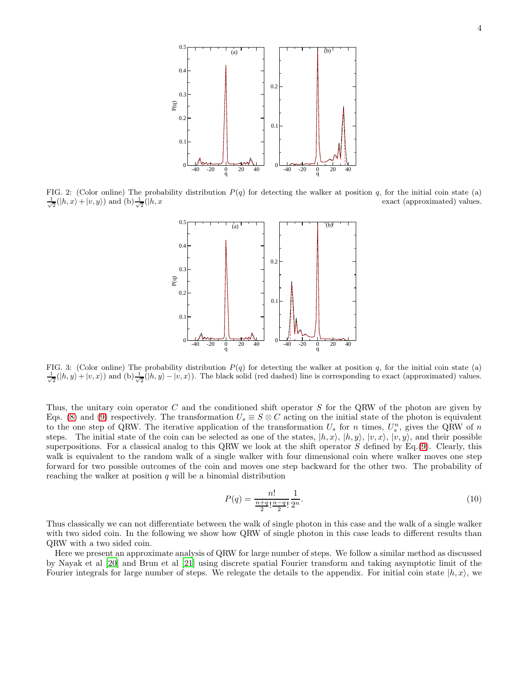

<span id="page-3-0"></span>FIG. 2: (Color online) The probability distribution  $P(q)$  for detecting the walker at position q, for the initial coin state (a)  $\frac{1}{\sqrt{2}}(|h,x\rangle+|v,y\rangle)$  and  $(b)\frac{1}{\sqrt{2}}$ exact (approximated) values.



<span id="page-3-1"></span>FIG. 3: (Color online) The probability distribution  $P(q)$  for detecting the walker at position q, for the initial coin state (a)  $\frac{1}{\sqrt{2}}(|h, y\rangle + |v, x\rangle)$  and  $(b)\frac{1}{\sqrt{2}}(|h, y\rangle - |v, x\rangle)$ . The black solid (red dashed) line is corresponding to exact (approximated) values.

Thus, the unitary coin operator C and the conditioned shift operator S for the QRW of the photon are given by Eqs. [\(8\)](#page-2-1) and [\(9\)](#page-2-2) respectively. The transformation  $U_s \equiv S \otimes C$  acting on the initial state of the photon is equivalent to the one step of QRW. The iterative application of the transformation  $U_s$  for n times,  $U_s^n$ , gives the QRW of n steps. The initial state of the coin can be selected as one of the states,  $|h, x\rangle$ ,  $|h, y\rangle$ ,  $|v, x\rangle$ ,  $|v, y\rangle$ , and their possible superpositions. For a classical analog to this QRW we look at the shift operator  $S$  defined by Eq.[\(9\)](#page-2-2). Clearly, this walk is equivalent to the random walk of a single walker with four dimensional coin where walker moves one step forward for two possible outcomes of the coin and moves one step backward for the other two. The probability of reaching the walker at position  $q$  will be a binomial distribution

$$
P(q) = \frac{n!}{\frac{n+q}{2}! \frac{n-q}{2}!} \frac{1}{2^n}.
$$
\n(10)

Thus classically we can not differentiate between the walk of single photon in this case and the walk of a single walker with two sided coin. In the following we show how QRW of single photon in this case leads to different results than QRW with a two sided coin.

Here we present an approximate analysis of QRW for large number of steps. We follow a similar method as discussed by Nayak et al [\[20](#page-14-11)] and Brun et al [\[21\]](#page-14-12) using discrete spatial Fourier transform and taking asymptotic limit of the Fourier integrals for large number of steps. We relegate the details to the appendix. For initial coin state  $|h, x\rangle$ , we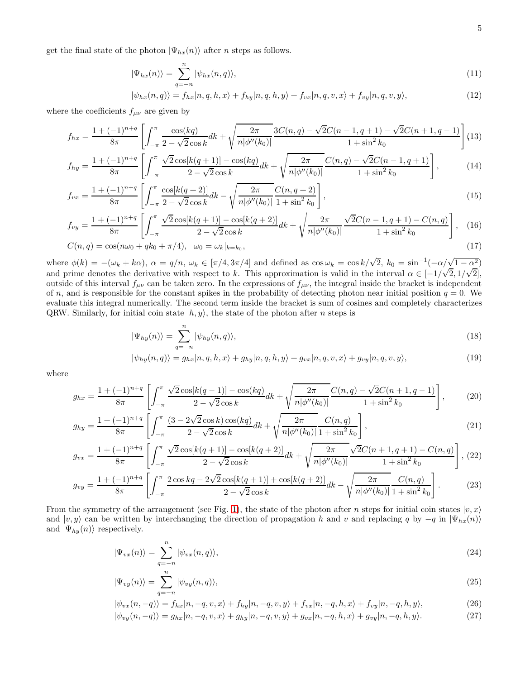get the final state of the photon  $|\Psi_{hx}(n)\rangle$  after *n* steps as follows.

<span id="page-4-0"></span>
$$
|\Psi_{hx}(n)\rangle = \sum_{q=-n}^{n} |\psi_{hx}(n,q)\rangle, \tag{11}
$$

$$
|\psi_{hx}(n,q)\rangle = f_{hx}|n,q,h,x\rangle + f_{hy}|n,q,h,y\rangle + f_{vx}|n,q,v,x\rangle + f_{vy}|n,q,v,y\rangle,
$$
\n(12)

where the coefficients  $f_{\mu\nu}$  are given by

$$
f_{hx} = \frac{1 + (-1)^{n+q}}{8\pi} \left[ \int_{-\pi}^{\pi} \frac{\cos(kq)}{2 - \sqrt{2}\cos k} dk + \sqrt{\frac{2\pi}{n|\phi''(k_0)|}} \frac{3C(n,q) - \sqrt{2}C(n-1,q+1) - \sqrt{2}C(n+1,q-1)}{1 + \sin^2 k_0} \right] (13)
$$

$$
f_{hy} = \frac{1 + (-1)^{n+q}}{8\pi} \left[ \int_{-\pi}^{\pi} \frac{\sqrt{2}\cos[k(q+1)] - \cos(kq)}{2 - \sqrt{2}\cos k} dk + \sqrt{\frac{2\pi}{n|\phi''(k_0)|}} \frac{C(n,q) - \sqrt{2}C(n-1,q+1)}{1 + \sin^2 k_0} \right],
$$
(14)

$$
f_{vx} = \frac{1 + (-1)^{n+q}}{8\pi} \left[ \int_{-\pi}^{\pi} \frac{\cos[k(q+2)]}{2 - \sqrt{2}\cos k} dk - \sqrt{\frac{2\pi}{n|\phi''(k_0)|}} \frac{C(n, q+2)}{1 + \sin^2 k_0} \right],
$$
\n(15)

$$
f_{vy} = \frac{1 + (-1)^{n+q}}{8\pi} \left[ \int_{-\pi}^{\pi} \frac{\sqrt{2}\cos[k(q+1)] - \cos[k(q+2)]}{2 - \sqrt{2}\cos k} dk + \sqrt{\frac{2\pi}{n|\phi''(k_0)|}} \frac{\sqrt{2}C(n-1, q+1) - C(n, q)}{1 + \sin^2 k_0} \right], \quad (16)
$$

$$
C(n,q) = \cos(n\omega_0 + qk_0 + \pi/4), \quad \omega_0 = \omega_k|_{k=k_0},\tag{17}
$$

where  $\phi(k) = -(\omega_k + k\alpha)$ ,  $\alpha = q/n$ ,  $\omega_k \in [\pi/4, 3\pi/4]$  and defined as  $\cos \omega_k = \cos k/\sqrt{2}$ ,  $k_0 = \sin^{-1}(-\alpha/\sqrt{1-\alpha^2})$ and prime denotes the derivative with respect to k. This approximation is valid in the interval  $\alpha \in [-1/\sqrt{2}, 1/\sqrt{2}]$ , outside of this interval  $f_{\mu\nu}$  can be taken zero. In the expressions of  $f_{\mu\nu}$ , the integral inside the bracket is independent of n, and is responsible for the constant spikes in the probability of detecting photon near initial position  $q = 0$ . We evaluate this integral numerically. The second term inside the bracket is sum of cosines and completely characterizes QRW. Similarly, for initial coin state  $|h, y\rangle$ , the state of the photon after *n* steps is

<span id="page-4-1"></span>
$$
|\Psi_{hy}(n)\rangle = \sum_{q=-n}^{n} |\psi_{hy}(n,q)\rangle,
$$
\n(18)

$$
|\psi_{hy}(n,q)\rangle = g_{hx}|n,q,h,x\rangle + g_{hy}|n,q,h,y\rangle + g_{vx}|n,q,v,x\rangle + g_{vy}|n,q,v,y\rangle,
$$
\n(19)

where

$$
g_{hx} = \frac{1 + (-1)^{n+q}}{8\pi} \left[ \int_{-\pi}^{\pi} \frac{\sqrt{2}\cos[k(q-1)] - \cos(kq)}{2 - \sqrt{2}\cos k} dk + \sqrt{\frac{2\pi}{n|\phi''(k_0)|}} \frac{C(n,q) - \sqrt{2}C(n+1,q-1)}{1 + \sin^2 k_0} \right],
$$
 (20)

$$
g_{hy} = \frac{1 + (-1)^{n+q}}{8\pi} \left[ \int_{-\pi}^{\pi} \frac{(3 - 2\sqrt{2}\cos k)\cos(kq)}{2 - \sqrt{2}\cos k} dk + \sqrt{\frac{2\pi}{n|\phi''(k_0)|}} \frac{C(n,q)}{1 + \sin^2 k_0} \right],
$$
(21)

$$
g_{vx} = \frac{1 + (-1)^{n+q}}{8\pi} \left[ \int_{-\pi}^{\pi} \frac{\sqrt{2}\cos[k(q+1)] - \cos[k(q+2)]}{2 - \sqrt{2}\cos k} dk + \sqrt{\frac{2\pi}{n|\phi''(k_0)|}} \frac{\sqrt{2}C(n+1, q+1) - C(n, q)}{1 + \sin^2 k_0} \right], (22)
$$

$$
g_{vy} = \frac{1 + (-1)^{n+q}}{8\pi} \left[ \int_{-\pi}^{\pi} \frac{2\cos kq - 2\sqrt{2}\cos[k(q+1)] + \cos[k(q+2)]}{2 - \sqrt{2}\cos k} dk - \sqrt{\frac{2\pi}{n|\phi''(k_0)|}} \frac{C(n,q)}{1 + \sin^2 k_0} \right].
$$
 (23)

From the symmetry of the arrangement (see Fig. [1\)](#page-1-0), the state of the photon after n steps for initial coin states  $|v, x\rangle$ and  $|v, y\rangle$  can be written by interchanging the direction of propagation h and v and replacing q by  $-q$  in  $|\Psi_{hx}(n)\rangle$ and  $|\Psi_{hy}(n)\rangle$  respectively.

<span id="page-4-2"></span>
$$
|\Psi_{vx}(n)\rangle = \sum_{q=-n}^{n} |\psi_{vx}(n,q)\rangle,
$$
\n(24)

$$
|\Psi_{vy}(n)\rangle = \sum_{q=-n}^{n} |\psi_{vy}(n,q)\rangle,
$$
\n(25)

$$
|\psi_{vx}(n,-q)\rangle = f_{hx}|n,-q,v,x\rangle + f_{hy}|n,-q,v,y\rangle + f_{vx}|n,-q,h,x\rangle + f_{vy}|n,-q,h,y\rangle,
$$
\n(26)

$$
|\psi_{vy}(n,-q)\rangle = g_{hx}|n,-q,v,x\rangle + g_{hy}|n,-q,v,y\rangle + g_{vx}|n,-q,h,x\rangle + g_{vy}|n,-q,h,y\rangle.
$$
 (27)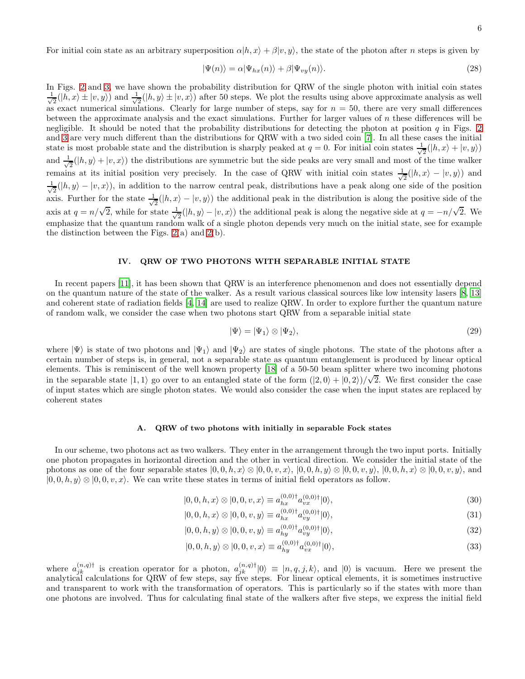$$
|\Psi(n)\rangle = \alpha |\Psi_{hx}(n)\rangle + \beta |\Psi_{vy}(n)\rangle.
$$
 (28)

In Figs. [2](#page-3-0) and [3,](#page-3-1) we have shown the probability distribution for QRW of the single photon with initial coin states √ 1  $\frac{1}{2}(|h, x\rangle \pm |v, y\rangle)$  and  $\frac{1}{\sqrt{2}}$  $\frac{1}{2}(|h, y \rangle \pm |v, x \rangle)$  after 50 steps. We plot the results using above approximate analysis as well as exact numerical simulations. Clearly for large number of steps, say for  $n = 50$ , there are very small differences between the approximate analysis and the exact simulations. Further for larger values of  $n$  these differences will be negligible. It should be noted that the probability distributions for detecting the photon at position  $q$  in Figs. [2](#page-3-0) and [3](#page-3-1) are very much different than the distributions for QRW with a two sided coin [\[7](#page-13-6)]. In all these cases the initial state is most probable state and the distribution is sharply peaked at  $q = 0$ . For initial coin states  $\frac{1}{\sqrt{2}}$  $\frac{1}{2}(|h,x\rangle+|v,y\rangle)$ and  $\frac{1}{\sqrt{2}}$  $\frac{1}{2}(|h, y \rangle + |v, x \rangle)$  the distributions are symmetric but the side peaks are very small and most of the time walker remains at its initial position very precisely. In the case of QRW with initial coin states  $\frac{1}{\sqrt{2}}$  $\frac{1}{2}(|h,x\rangle - |v,y\rangle)$  and √ 1  $\frac{1}{2}(|h, y \rangle - |v, x \rangle)$ , in addition to the narrow central peak, distributions have a peak along one side of the position axis. Further for the state  $\frac{1}{\sqrt{2}}$  $\frac{1}{2}(|h, x\rangle - |v, y\rangle)$  the additional peak in the distribution is along the positive side of the axis at  $q = n/\sqrt{2}$ , while for state  $\frac{1}{\sqrt{2}}$  $\frac{1}{2}(|h, y \rangle - |v, x \rangle)$  the additional peak is along the negative side at  $q = -n/\sqrt{2}$ . We emphasize that the quantum random walk of a single photon depends very much on the initial state, see for example the distinction between the Figs.  $2(a)$  and  $2(b)$ .

### IV. QRW OF TWO PHOTONS WITH SEPARABLE INITIAL STATE

In recent papers [\[11](#page-14-2)], it has been shown that QRW is an interference phenomenon and does not essentially depend on the quantum nature of the state of the walker. As a result various classical sources like low intensity lasers [\[8](#page-13-7), [13](#page-14-4)] and coherent state of radiation fields [\[4,](#page-13-3) [14\]](#page-14-5) are used to realize QRW. In order to explore further the quantum nature of random walk, we consider the case when two photons start QRW from a separable initial state

$$
|\Psi\rangle = |\Psi_1\rangle \otimes |\Psi_2\rangle,\tag{29}
$$

where  $|\Psi\rangle$  is state of two photons and  $|\Psi_1\rangle$  and  $|\Psi_2\rangle$  are states of single photons. The state of the photons after a certain number of steps is, in general, not a separable state as quantum entanglement is produced by linear optical elements. This is reminiscent of the well known property [\[18](#page-14-9)] of a 50-50 beam splitter where two incoming photons in the separable state  $|1, 1\rangle$  go over to an entangled state of the form  $(|2, 0\rangle + |0, 2\rangle)/\sqrt{2}$ . We first consider the case of input states which are single photon states. We would also consider the case when the input states are replaced by coherent states

## A. QRW of two photons with initially in separable Fock states

In our scheme, two photons act as two walkers. They enter in the arrangement through the two input ports. Initially one photon propagates in horizontal direction and the other in vertical direction. We consider the initial state of the photons as one of the four separable states  $|0, 0, h, x\rangle \otimes |0, 0, v, x\rangle, |0, 0, h, y\rangle \otimes |0, 0, v, y\rangle, |0, 0, h, x\rangle \otimes |0, 0, v, y\rangle$ , and  $|0, 0, h, y\rangle \otimes |0, 0, v, x\rangle$ . We can write these states in terms of initial field operators as follow.

<span id="page-5-0"></span>
$$
|0,0,h,x\rangle \otimes |0,0,v,x\rangle \equiv a_{hx}^{(0,0)\dagger} a_{vx}^{(0,0)\dagger} |0\rangle, \tag{30}
$$

$$
|0,0,h,x\rangle \otimes |0,0,v,y\rangle \equiv a_{hx}^{(0,0)\dagger} a_{vy}^{(0,0)\dagger} |0\rangle, \tag{31}
$$

$$
|0,0,h,y\rangle \otimes |0,0,v,y\rangle \equiv a_{hy}^{(0,0)\dagger} a_{vy}^{(0,0)\dagger} |0\rangle, \tag{32}
$$

$$
|0,0,h,y\rangle \otimes |0,0,v,x\rangle \equiv a_{hy}^{(0,0)\dagger} a_{vx}^{(0,0)\dagger} |0\rangle,\tag{33}
$$

where  $a_{jk}^{(n,q)}$  is creation operator for a photon,  $a_{jk}^{(n,q)\dagger}|0\rangle \equiv |n,q,j,k\rangle$ , and  $|0\rangle$  is vacuum. Here we present the analytical calculations for QRW of few steps, say five steps. For linear optical elements, it is sometimes instructive and transparent to work with the transformation of operators. This is particularly so if the states with more than one photons are involved. Thus for calculating final state of the walkers after five steps, we express the initial field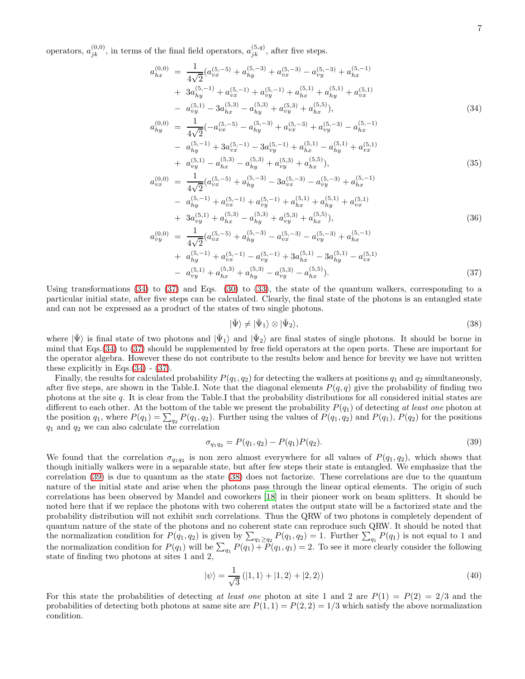operators,  $a_{jk}^{(0,0)}$ , in terms of the final field operators,  $a_{jk}^{(5,q)}$ , after five steps.

<span id="page-6-0"></span>
$$
a_{hx}^{(0,0)} = \frac{1}{4\sqrt{2}} (a_{vx}^{(5,-5)} + a_{hy}^{(5,-3)} + a_{vx}^{(5,-3)} - a_{vy}^{(5,-3)} + a_{hx}^{(5,-1)} + 3a_{hy}^{(5,-1)} + a_{vx}^{(5,-1)} + a_{vy}^{(5,-1)} + a_{hx}^{(5,1)} + a_{vy}^{(5,1)} + a_{vx}^{(5,1)} - a_{vy}^{(5,1)} - 3a_{hx}^{(5,3)} - a_{hy}^{(5,3)} + a_{vy}^{(5,3)} + a_{hx}^{(5,5)}),
$$
\n
$$
a_{hy}^{(0,0)} = \frac{1}{4\sqrt{2}} (-a_{vx}^{(5,-5)} - a_{hy}^{(5,-3)} + a_{vx}^{(5,-3)} + a_{vy}^{(5,-3)} - a_{hx}^{(5,-1)}
$$
\n
$$
(34)
$$

$$
4\sqrt{2}
$$
\n
$$
- a_{hy}^{(5,-1)} + 3a_{vx}^{(5,-1)} - 3a_{vy}^{(5,-1)} + a_{hx}^{(5,1)} - a_{hy}^{(5,1)} + a_{vx}^{(5,1)}
$$
\n
$$
+ a_{vy}^{(5,1)} - a_{hx}^{(5,3)} - a_{hy}^{(5,3)} + a_{vy}^{(5,3)} + a_{hx}^{(5,5)}),
$$
\n(35)

$$
a_{vx}^{(0,0)} = \frac{1}{4\sqrt{2}} (a_{vx}^{(5,-5)} + a_{hy}^{(5,-3)} - 3a_{vx}^{(5,-3)} - a_{vy}^{(5,-3)} + a_{hx}^{(5,-1)} - a_{hy}^{(5,-1)} + a_{vx}^{(5,-1)} + a_{vy}^{(5,-1)} + a_{hx}^{(5,1)} + a_{vy}^{(5,1)} + a_{vx}^{(5,1)} + 3a_{vy}^{(5,1)} + a_{hx}^{(5,3)} - a_{hy}^{(5,3)} + a_{vy}^{(5,3)} + a_{hx}^{(5,5)}),
$$
  
\n
$$
a_{vy}^{(0,0)} = \frac{1}{4\sqrt{2}} (a_{vx}^{(5,-5)} + a_{hy}^{(5,-3)} - a_{vx}^{(5,-3)} - a_{vy}^{(5,-3)} + a_{hx}^{(5,-1)}
$$
\n(36)

$$
a_{yy}^{(5)} = \frac{1}{4\sqrt{2}} \left( a_{vx}^{(5)} \right)^{5} + a_{hy}^{(5)} - a_{vx}^{(5)} \right) - a_{vy}^{(5)} \left( a_{hx}^{(5)} \right) + a_{hy}^{(5,-1)} + a_{vx}^{(5,-1)} - a_{vy}^{(5,-1)} + 3a_{hx}^{(5,1)} - 3a_{hy}^{(5,1)} - a_{vx}^{(5,1)} - a_{vy}^{(5,1)} + a_{hx}^{(5,3)} + a_{hy}^{(5,3)} - a_{vy}^{(5,3)} - a_{hx}^{(5,5)} \right).
$$
\n
$$
(37)
$$

Using transformations [\(34\)](#page-6-0) to [\(37\)](#page-6-0) and Eqs. [\(30\)](#page-5-0) to [\(33\)](#page-5-0), the state of the quantum walkers, corresponding to a particular initial state, after five steps can be calculated. Clearly, the final state of the photons is an entangled state and can not be expressed as a product of the states of two single photons.

<span id="page-6-2"></span>
$$
|\bar{\Psi}\rangle \neq |\bar{\Psi}_1\rangle \otimes |\bar{\Psi}_2\rangle,\tag{38}
$$

where  $|\bar{\Psi}\rangle$  is final state of two photons and  $|\bar{\Psi}_1\rangle$  and  $|\bar{\Psi}_2\rangle$  are final states of single photons. It should be borne in mind that Eqs.[\(34\)](#page-6-0) to [\(37\)](#page-6-0) should be supplemented by free field operators at the open ports. These are important for the operator algebra. However these do not contribute to the results below and hence for brevity we have not written these explicitly in Eqs. $(34)$  -  $(37)$ .

Finally, the results for calculated probability  $P(q_1, q_2)$  for detecting the walkers at positions  $q_1$  and  $q_2$  simultaneously, after five steps, are shown in the Table.I. Note that the diagonal elements  $P(q, q)$  give the probability of finding two photons at the site q. It is clear from the Table.I that the probability distributions for all considered initial states are different to each other. At the bottom of the table we present the probability  $P(q_1)$  of detecting at least one photon at the position  $q_1$ , where  $P(q_1) = \sum_{q_2} P(q_1, q_2)$ . Further using the values of  $P(q_1, q_2)$  and  $P(q_1)$ ,  $P(q_2)$  for the positions  $q_1$  and  $q_2$  we can also calculate the correlation

<span id="page-6-1"></span>
$$
\sigma_{q_1 q_2} = P(q_1, q_2) - P(q_1)P(q_2). \tag{39}
$$

We found that the correlation  $\sigma_{q_1q_2}$  is non zero almost everywhere for all values of  $P(q_1, q_2)$ , which shows that though initially walkers were in a separable state, but after few steps their state is entangled. We emphasize that the correlation [\(39\)](#page-6-1) is due to quantum as the state [\(38\)](#page-6-2) does not factorize. These correlations are due to the quantum nature of the initial state and arise when the photons pass through the linear optical elements. The origin of such correlations has been observed by Mandel and coworkers [\[18\]](#page-14-9) in their pioneer work on beam splitters. It should be noted here that if we replace the photons with two coherent states the output state will be a factorized state and the probability distribution will not exhibit such correlations. Thus the QRW of two photons is completely dependent of quantum nature of the state of the photons and no coherent state can reproduce such QRW. It should be noted that the normalization condition for  $P(q_1, q_2)$  is given by  $\sum_{q_1 \ge q_2} P(q_1, q_2) = 1$ . Further  $\sum_{q_1} P(q_1)$  is not equal to 1 and the normalization condition for  $P(q_1)$  will be  $\sum_{q_1} P(q_1) + P(q_1, q_1) = 2$ . To see it more clearly consider the following state of finding two photons at sites 1 and 2,

$$
|\psi\rangle = \frac{1}{\sqrt{3}} (|1,1\rangle + |1,2\rangle + |2,2\rangle)
$$
 (40)

For this state the probabilities of detecting at least one photon at site 1 and 2 are  $P(1) = P(2) = 2/3$  and the probabilities of detecting both photons at same site are  $P(1, 1) = P(2, 2) = 1/3$  which satisfy the above normalization condition.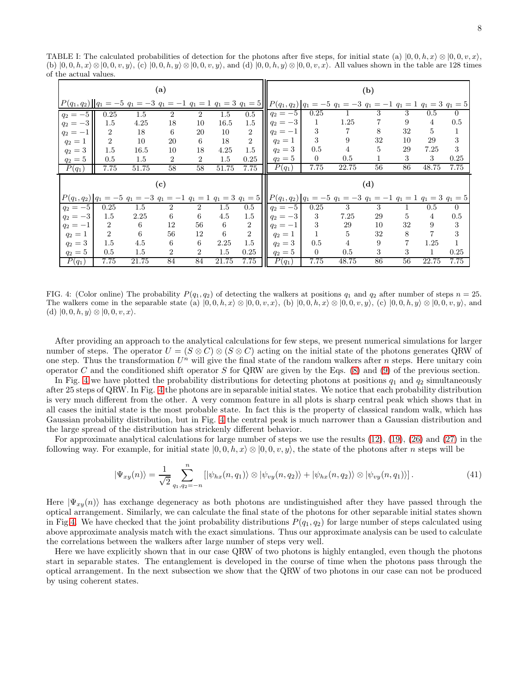TABLE I: The calculated probabilities of detection for the photons after five steps, for initial state (a)  $(0, 0, h, x) \otimes (0, 0, v, x)$ , (b)  $|0, 0, h, x \rangle \otimes |0, 0, v, y \rangle$ , (c)  $|0, 0, h, y \rangle \otimes |0, 0, v, y \rangle$ , and (d)  $|0, 0, h, y \rangle \otimes |0, 0, v, x \rangle$ . All values shown in the table are 128 times of the actual values.

|                            |                |         | (a)            |                |         |                |                                                                                                                                                          |              |       | (b) |    |                |                |
|----------------------------|----------------|---------|----------------|----------------|---------|----------------|----------------------------------------------------------------------------------------------------------------------------------------------------------|--------------|-------|-----|----|----------------|----------------|
|                            |                |         |                |                |         |                | $P(q_1, q_2)    q_1 = -5 q_1 = -3 q_1 = -1 q_1 = 1 q_1 = 3 q_1 = 5    P(q_1, q_2)    q_1 = -5 q_1 = -3 q_1 = -1 q_1 = 1 q_1 = 3 q_1 = 5$                 |              |       |     |    |                |                |
| $q_2 = -5$                 | 0.25           | 1.5     | $\overline{2}$ | $\overline{2}$ | $1.5\,$ | 0.5            | $q_2 = -5$                                                                                                                                               | 0.25         |       | 3   | 3  | $0.5\,$        | $\theta$       |
| $q_2 = -3$                 | 1.5            | 4.25    | 18             | 10             | 16.5    | 1.5            | $q_2 = -3$                                                                                                                                               | $\mathbf 1$  | 1.25  |     | 9  | $\overline{4}$ | 0.5            |
| $q_2 = -1$                 | $\overline{2}$ | 18      | 6              | 20             | 10      | $\overline{2}$ | $q_2 = -1$                                                                                                                                               | 3            | 7     | 8   | 32 | 5              | $\mathbf 1$    |
| $q_2=1$                    | $\overline{2}$ | 10      | 20             | 6              | 18      | $\overline{2}$ | $q_2=1$                                                                                                                                                  | 3            | 9     | 32  | 10 | 29             | 3              |
| $q_2 = 3$                  | 1.5            | 16.5    | 10             | 18             | 4.25    | 1.5            | $q_2 = 3$                                                                                                                                                | 0.5          | 4     | 5   | 29 | 7.25           | 3              |
| $q_2 = 5$                  | 0.5            | 1.5     | $\overline{2}$ | $\overline{2}$ | $1.5\,$ | 0.25           | $q_2=5$                                                                                                                                                  | $\Omega$     | 0.5   | 1   | 3  | 3              | 0.25           |
| $P(q_1)$                   | 7.75           | 51.75   | 58             | 58             | 51.75   | 7.75           | $\overline{P}(q_1)$                                                                                                                                      | 7.75         | 22.75 | 56  | 86 | 48.75          | 7.75           |
| $\left( \mathbf{c}\right)$ |                |         |                |                |         |                |                                                                                                                                                          |              |       |     |    |                |                |
|                            |                |         |                |                |         |                |                                                                                                                                                          |              |       | (d) |    |                |                |
|                            |                |         |                |                |         |                | $P(q_1,q_2)$ $q_1 = -5$ $q_1 = -3$ $q_1 = -1$ $q_1 = 1$ $q_1 = 3$ $q_1 = 5$ $  P(q_1,q_2)  q_1 = -5$ $q_1 = -3$ $q_1 = -1$ $q_1 = 1$ $q_1 = 3$ $q_1 = 5$ |              |       |     |    |                |                |
| $q_2 = -5$                 | 0.25           | 1.5     | $\overline{2}$ | $\overline{2}$ | $1.5\,$ | $0.5\,$        | $q_2 = -5$                                                                                                                                               | 0.25         | 3     | 3   |    | $0.5\,$        | $\overline{0}$ |
| $q_2 = -3$                 | 1.5            | 2.25    | 6              | 6              | 4.5     | 1.5            | $q_2 = -3$                                                                                                                                               | 3            | 7.25  | 29  | 5  | $\overline{4}$ | 0.5            |
| $q_2 = -1$                 | $\overline{2}$ | 6       | 12             | 56             | 6       | $\overline{2}$ | $q_2 = -1$                                                                                                                                               | 3            | 29    | 10  | 32 | 9              | 3              |
| $q_2 = 1$                  | 2              | 6       | 56             | 12             | 6       | $\sqrt{2}$     | $q_2=1$                                                                                                                                                  | $\mathbf{1}$ | 5     | 32  | 8  | $\overline{7}$ | 3              |
| $q_2 = 3$                  | 1.5            | 4.5     | 6              | 6              | 2.25    | 1.5            | $q_2 = 3$                                                                                                                                                | 0.5          | 4     | 9   | 7  | 1.25           | $\mathbf{1}$   |
| $q_2 = 5$                  | $0.5\,$        | $1.5\,$ | $\overline{2}$ | $\overline{2}$ | 1.5     | 0.25           | $q_2=5$                                                                                                                                                  | $\Omega$     | 0.5   | 3   | 3  | $\mathbf{1}$   | 0.25           |

<span id="page-7-0"></span>FIG. 4: (Color online) The probability  $P(q_1, q_2)$  of detecting the walkers at positions  $q_1$  and  $q_2$  after number of steps  $n = 25$ . The walkers come in the separable state (a)  $|0, 0, h, x\rangle \otimes |0, 0, v, x\rangle$ , (b)  $|0, 0, h, x\rangle \otimes |0, 0, v, y\rangle$ , (c)  $|0, 0, h, y\rangle \otimes |0, 0, v, y\rangle$ , and (d)  $|0, 0, h, y\rangle \otimes |0, 0, v, x\rangle$ .

After providing an approach to the analytical calculations for few steps, we present numerical simulations for larger number of steps. The operator  $U = (S \otimes C) \otimes (S \otimes C)$  acting on the initial state of the photons generates QRW of one step. Thus the transformation  $U^n$  will give the final state of the random walkers after n steps. Here unitary coin operator C and the conditioned shift operator S for QRW are given by the Eqs.  $(8)$  and  $(9)$  of the previous section.

In Fig. [4](#page-7-0) we have plotted the probability distributions for detecting photons at positions  $q_1$  and  $q_2$  simultaneously after 25 steps of QRW. In Fig. [4](#page-7-0) the photons are in separable initial states. We notice that each probability distribution is very much different from the other. A very common feature in all plots is sharp central peak which shows that in all cases the initial state is the most probable state. In fact this is the property of classical random walk, which has Gaussian probability distribution, but in Fig. [4](#page-7-0) the central peak is much narrower than a Gaussian distribution and the large spread of the distribution has strickenly different behavior.

For approximate analytical calculations for large number of steps we use the results [\(12\)](#page-4-0), [\(19\)](#page-4-1), [\(26\)](#page-4-2) and [\(27\)](#page-4-2) in the following way. For example, for initial state  $|0, 0, h, x \rangle \otimes |0, 0, v, y\rangle$ , the state of the photons after *n* steps will be

$$
|\Psi_{xy}(n)\rangle = \frac{1}{\sqrt{2}} \sum_{q_1, q_2=-n}^n [|\psi_{hx}(n, q_1)\rangle \otimes |\psi_{vy}(n, q_2)\rangle + |\psi_{hx}(n, q_2)\rangle \otimes |\psi_{vy}(n, q_1)\rangle]. \tag{41}
$$

Here  $|\Psi_{xy}(n)\rangle$  has exchange degeneracy as both photons are undistinguished after they have passed through the optical arrangement. Similarly, we can calculate the final state of the photons for other separable initial states shown in Fig[.4.](#page-7-0) We have checked that the joint probability distributions  $P(q_1, q_2)$  for large number of steps calculated using above approximate analysis match with the exact simulations. Thus our approximate analysis can be used to calculate the correlations between the walkers after large number of steps very well.

Here we have explicitly shown that in our case QRW of two photons is highly entangled, even though the photons start in separable states. The entanglement is developed in the course of time when the photons pass through the optical arrangement. In the next subsection we show that the QRW of two photons in our case can not be produced by using coherent states.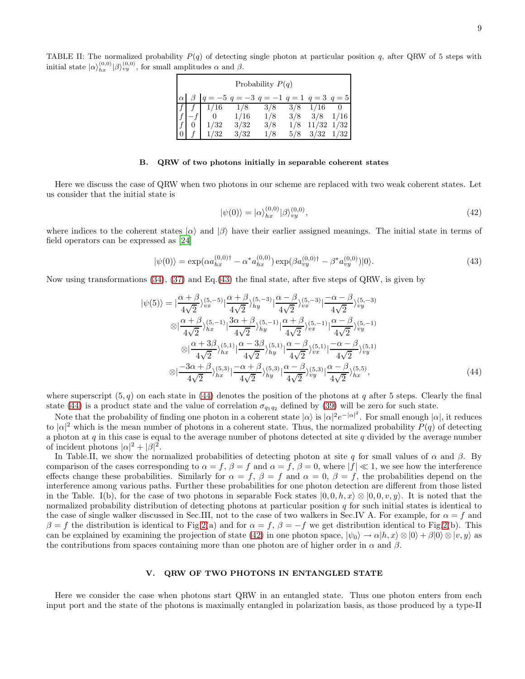TABLE II: The normalized probability  $P(q)$  of detecting single photon at particular position q, after QRW of 5 steps with initial state  $|\alpha\rangle_{hx}^{(0,0)} |\beta\rangle_{vy}^{(0,0)}$ , for small amplitudes  $\alpha$  and  $\beta$ .

|                |                      |                                                                                                      | Probability $P(q)$ |     |                      |    |
|----------------|----------------------|------------------------------------------------------------------------------------------------------|--------------------|-----|----------------------|----|
|                |                      | $\alpha \begin{pmatrix} \beta & q = -5 \\ q = -3 \\ q = -1 \\ q = 1 \\ q = 3 \\ q = 5 \end{pmatrix}$ |                    |     |                      |    |
|                | $f \mid f \mid 1/16$ | 1/8                                                                                                  | 3/8                |     | $3/8$ 1/16           | -0 |
|                | - 0                  | 1/16                                                                                                 | 1/8                | 3/8 | $3/8$ 1/16           |    |
|                | 1/32                 | 3/32                                                                                                 | 3/8                |     | $1/8$ $11/32$ $1/32$ |    |
| $\overline{0}$ | 1/32                 | 3/32                                                                                                 | 1/8                |     | $5/8$ $3/32$ $1/32$  |    |

### B. QRW of two photons initially in separable coherent states

Here we discuss the case of QRW when two photons in our scheme are replaced with two weak coherent states. Let us consider that the initial state is

<span id="page-8-2"></span>
$$
|\psi(0)\rangle = |\alpha\rangle_{hx}^{(0,0)} |\beta\rangle_{vy}^{(0,0)},\tag{42}
$$

where indices to the coherent states  $|\alpha\rangle$  and  $|\beta\rangle$  have their earlier assigned meanings. The initial state in terms of field operators can be expressed as [\[24](#page-14-14)]

<span id="page-8-0"></span>
$$
|\psi(0)\rangle = \exp(\alpha a_{hx}^{(0,0)\dagger} - \alpha^* a_{hx}^{(0,0)}) \exp(\beta a_{vy}^{(0,0)\dagger} - \beta^* a_{vy}^{(0,0)})|0\rangle.
$$
 (43)

Now using transformations [\(34\)](#page-6-0), [\(37\)](#page-6-0) and Eq.[\(43\)](#page-8-0) the final state, after five steps of QRW, is given by

<span id="page-8-1"></span>
$$
|\psi(5)\rangle = |\frac{\alpha+\beta}{4\sqrt{2}}\rangle_{vx}^{(5,-5)}| \frac{\alpha+\beta}{4\sqrt{2}}\rangle_{hy}^{(5,-3)}| \frac{\alpha-\beta}{4\sqrt{2}}\rangle_{vx}^{(5,-3)}| \frac{-\alpha-\beta}{4\sqrt{2}}\rangle_{vy}^{(5,-3)} \n\otimes |\frac{\alpha+\beta}{4\sqrt{2}}\rangle_{hx}^{(5,-1)}| \frac{3\alpha+\beta}{4\sqrt{2}}\rangle_{hy}^{(5,-1)}| \frac{\alpha+\beta}{4\sqrt{2}}\rangle_{vx}^{(5,-1)}| \frac{\alpha-\beta}{4\sqrt{2}}\rangle_{vy}^{(5,-1)} \n\otimes |\frac{\alpha+3\beta}{4\sqrt{2}}\rangle_{hx}^{(5,1)}| \frac{\alpha-3\beta}{4\sqrt{2}}\rangle_{hy}^{(5,1)}| \frac{\alpha-\beta}{4\sqrt{2}}\rangle_{vx}^{(5,1)}| \frac{-\alpha-\beta}{4\sqrt{2}}\rangle_{vy}^{(5,1)} \n\otimes |\frac{-3\alpha+\beta}{4\sqrt{2}}\rangle_{hx}^{(5,3)}| \frac{-\alpha+\beta}{4\sqrt{2}}\rangle_{hy}^{(5,3)}| \frac{\alpha-\beta}{4\sqrt{2}}\rangle_{vy}^{(5,3)}| \frac{\alpha-\beta}{4\sqrt{2}}\rangle_{hx}^{(5,5)},
$$
\n(44)

where superscript  $(5, q)$  on each state in [\(44\)](#page-8-1) denotes the position of the photons at q after 5 steps. Clearly the final state [\(44\)](#page-8-1) is a product state and the value of correlation  $\sigma_{q_1q_2}$  defined by [\(39\)](#page-6-1) will be zero for such state.

Note that the probability of finding one photon in a coherent state  $|\alpha\rangle$  is  $|\alpha|^2 e^{-|\alpha|^2}$ . For small enough  $|\alpha|$ , it reduces to  $|\alpha|^2$  which is the mean number of photons in a coherent state. Thus, the normalized probability  $P(q)$  of detecting a photon at  $q$  in this case is equal to the average number of photons detected at site  $q$  divided by the average number of incident photons  $|\alpha|^2 + |\beta|^2$ .

In Table.II, we show the normalized probabilities of detecting photon at site q for small values of  $\alpha$  and  $\beta$ . By comparison of the cases corresponding to  $\alpha = f$ ,  $\beta = f$  and  $\alpha = f$ ,  $\beta = 0$ , where  $|f| \ll 1$ , we see how the interference effects change these probabilities. Similarly for  $\alpha = f$ ,  $\beta = f$  and  $\alpha = 0$ ,  $\beta = f$ , the probabilities depend on the interference among various paths. Further these probabilities for one photon detection are different from those listed in the Table. I(b), for the case of two photons in separable Fock states  $|0, 0, h, x\rangle \otimes |0, 0, v, y\rangle$ . It is noted that the normalized probability distribution of detecting photons at particular position  $q$  for such initial states is identical to the case of single walker discussed in Sec.III, not to the case of two walkers in Sec.IV A. For example, for  $\alpha = f$  and  $\beta = f$  the distribution is identical to Fig[.2\(](#page-3-0)a) and for  $\alpha = f$ ,  $\beta = -f$  we get distribution identical to Fig.2(b). This can be explained by examining the projection of state [\(42\)](#page-8-2) in one photon space,  $|\psi_0\rangle \to \alpha |h, x\rangle \otimes |0\rangle + \beta |0\rangle \otimes |v, y\rangle$  as the contributions from spaces containing more than one photon are of higher order in  $\alpha$  and  $\beta$ .

### V. QRW OF TWO PHOTONS IN ENTANGLED STATE

Here we consider the case when photons start QRW in an entangled state. Thus one photon enters from each input port and the state of the photons is maximally entangled in polarization basis, as those produced by a type-II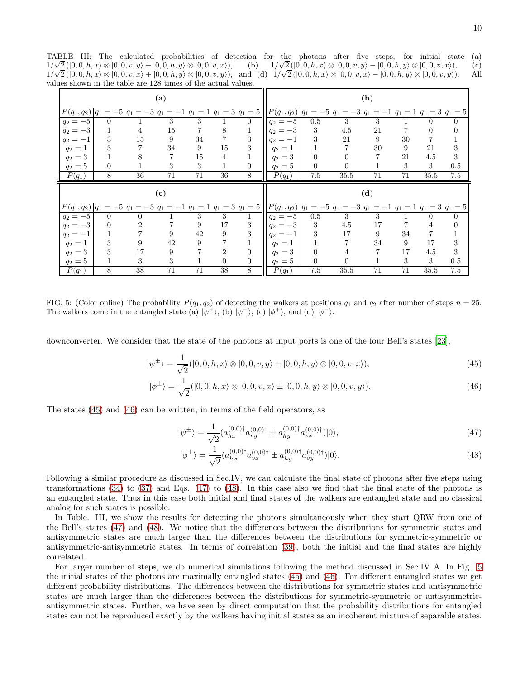TABLE III: The calculated probabilities of detection for the photons after five steps, for initial state (a) 1/ $\sqrt{2}$  ([0, 0, h, x) ⊗ [0, 0, v, y) + [0, 0, h, y) ⊗ [0, 0, v, x)), (b) 1/  $\sqrt{2}([0, 0, h, x) \otimes [0, 0, v, y) - [0, 0, h, y] \otimes [0, 0, v, x))$ , (c)  $1/\sqrt{2}([0, 0, h, x] \otimes [0, 0, v, x] + [0, 0, h, y] \otimes [0, 0, v, y])$ , and (d)  $1/\sqrt{2}([0, 0, h, x] \otimes [0, 0, v, x] - [0, 0, h, y] \otimes [0, 0, v, y])$ . All values shown in the table are 128 times of the actual values.

|                                  |                |                                                                                                                                                      | (a) |                |                |                |                     |                |                | (b)          |    |          |                  |
|----------------------------------|----------------|------------------------------------------------------------------------------------------------------------------------------------------------------|-----|----------------|----------------|----------------|---------------------|----------------|----------------|--------------|----|----------|------------------|
| $P(q_1,q_2)$   $q_1$             |                | $= -5$ $q_1 = -3$ $q_1 = -1$ $q_1 = 1$ $q_1 = 3$ $q_1 = 5$ $\left\  P(q_1, q_2) \right\ _1 = -5$ $q_1 = -3$ $q_1 = -1$ $q_1 = 1$ $q_1 = 3$ $q_1 = 5$ |     |                |                |                |                     |                |                |              |    |          |                  |
| $q_2 = -5$                       | $\Omega$       |                                                                                                                                                      | 3   | 3              |                | 0              | $q_2 = -5$          | 0.5            | 3              | 3            |    | $\theta$ | $\overline{0}$   |
| $q_2 = -3$                       |                | 4                                                                                                                                                    | 15  | 7              | 8              |                | $q_2 = -3$          | 3              | 4.5            | 21           |    | $\theta$ | $\boldsymbol{0}$ |
| $q_2 = -1$                       | 3              | 15                                                                                                                                                   | 9   | 34             | 7              | 3              | $q_2 = -1$          | 3              | 21             | 9            | 30 | 7        | 1                |
| $q_2=1$                          | 3              |                                                                                                                                                      | 34  | 9              | 15             | 3              | $q_2=1$             |                | 7              | 30           | 9  | 21       | 3                |
| $q_2 = 3$                        |                | 8                                                                                                                                                    |     | 15             | 4              |                | $q_2 = 3$           | $\overline{0}$ | $\theta$       |              | 21 | 4.5      | 3                |
| $q_2=5$                          | $\theta$       | 1                                                                                                                                                    | 3   | 3              | 1              | $\overline{0}$ | $q_2 = 5$           | 0              | $\overline{0}$ | 1            | 3  | 3        | 0.5              |
| $P(q_1)$                         | 8              | 36                                                                                                                                                   | 71  | 71             | 36             | 8              | $\overline{P}(q_1)$ | 7.5            | 35.5           | 71           | 71 | 35.5     | 7.5              |
|                                  |                |                                                                                                                                                      |     |                |                |                |                     |                |                |              |    |          |                  |
|                                  |                |                                                                                                                                                      | (c) |                |                |                |                     |                |                | (d)          |    |          |                  |
|                                  |                | $P(q_1,q_2) q_1 = -5  q_1 = -3  q_1 = -1  q_1 = 1  q_1 = 3  q_1 = 5  P(q_1,q_2) q_1 = -5  q_1 = -3  q_1 = -1  q_1 = 1  q_1 = 3  q_1 = 5$             |     |                |                |                |                     |                |                |              |    |          |                  |
| $q_2 = -5$                       | $\overline{0}$ | $\theta$                                                                                                                                             |     | 3              | 3              |                | $q_2 = -5$          | 0.5            | 3              | 3            |    | 0        | 0                |
| $q_2 = -3$                       | $\theta$       | 2                                                                                                                                                    |     | 9              | 17             | 3              | $q_2 = -3$          | 3              | 4.5            | 17           |    | 4        | $\boldsymbol{0}$ |
| $q_2 = -1$                       | 1              |                                                                                                                                                      | 9   | 42             | 9              | 3              | $q_2 = -1$          | 3              | 17             | 9            | 34 | 7        | 1                |
| $q_2 = 1$                        | 3              | 9                                                                                                                                                    | 42  | 9              | $\overline{7}$ | 1              | $q_2 = 1$           |                | 7              | 34           | 9  | 17       | 3                |
| $q_2 = 3$                        | 3              | 17                                                                                                                                                   | 9   | $\overline{7}$ | $\overline{2}$ | $\overline{0}$ | $q_2 = 3$           | $\overline{0}$ | 4              | 7            | 17 | 4.5      | 3                |
| $q_2 = 5$<br>$\overline{P}(q_1)$ |                | 3                                                                                                                                                    | 3   |                | $\overline{0}$ | $\overline{0}$ | $q_2=5$             | 0              | $\overline{0}$ | $\mathbf{1}$ | 3  | 3        | 0.5              |

<span id="page-9-2"></span>FIG. 5: (Color online) The probability  $P(q_1, q_2)$  of detecting the walkers at positions  $q_1$  and  $q_2$  after number of steps  $n = 25$ . The walkers come in the entangled state (a)  $|\psi^+\rangle$ , (b)  $|\psi^-\rangle$ , (c)  $|\phi^+\rangle$ , and (d)  $|\phi^-\rangle$ .

downconverter. We consider that the state of the photons at input ports is one of the four Bell's states [\[23\]](#page-14-15),

<span id="page-9-0"></span>
$$
|\psi^{\pm}\rangle = \frac{1}{\sqrt{2}}(|0,0,h,x\rangle \otimes |0,0,v,y\rangle \pm |0,0,h,y\rangle \otimes |0,0,v,x\rangle),\tag{45}
$$

$$
|\phi^{\pm}\rangle = \frac{1}{\sqrt{2}}(|0,0,h,x\rangle \otimes |0,0,v,x\rangle \pm |0,0,h,y\rangle \otimes |0,0,v,y\rangle). \tag{46}
$$

The states [\(45\)](#page-9-0) and [\(46\)](#page-9-0) can be written, in terms of the field operators, as

<span id="page-9-1"></span>
$$
|\psi^{\pm}\rangle = \frac{1}{\sqrt{2}} (a_{hx}^{(0,0)\dagger} a_{vy}^{(0,0)\dagger} \pm a_{hy}^{(0,0)\dagger} a_{vx}^{(0,0)\dagger})|0\rangle, \tag{47}
$$

$$
|\phi^{\pm}\rangle = \frac{1}{\sqrt{2}} (a_{hx}^{(0,0)\dagger} a_{vx}^{(0,0)\dagger} \pm a_{hy}^{(0,0)\dagger} a_{vy}^{(0,0)\dagger})|0\rangle, \tag{48}
$$

Following a similar procedure as discussed in Sec.IV, we can calculate the final state of photons after five steps using transformations [\(34\)](#page-6-0) to [\(37\)](#page-6-0) and Eqs. [\(47\)](#page-9-1) to [\(48\)](#page-9-1). In this case also we find that the final state of the photons is an entangled state. Thus in this case both initial and final states of the walkers are entangled state and no classical analog for such states is possible.

In Table. III, we show the results for detecting the photons simultaneously when they start QRW from one of the Bell's states [\(47\)](#page-9-1) and [\(48\)](#page-9-1). We notice that the differences between the distributions for symmetric states and antisymmetric states are much larger than the differences between the distributions for symmetric-symmetric or antisymmetric-antisymmetric states. In terms of correlation [\(39\)](#page-6-1), both the initial and the final states are highly correlated.

For larger number of steps, we do numerical simulations following the method discussed in Sec.IV A. In Fig. [5](#page-9-2) the initial states of the photons are maximally entangled states [\(45\)](#page-9-0) and [\(46\)](#page-9-0). For different entangled states we get different probability distributions. The differences between the distributions for symmetric states and antisymmetric states are much larger than the differences between the distributions for symmetric-symmetric or antisymmetricantisymmetric states. Further, we have seen by direct computation that the probability distributions for entangled states can not be reproduced exactly by the walkers having initial states as an incoherent mixture of separable states.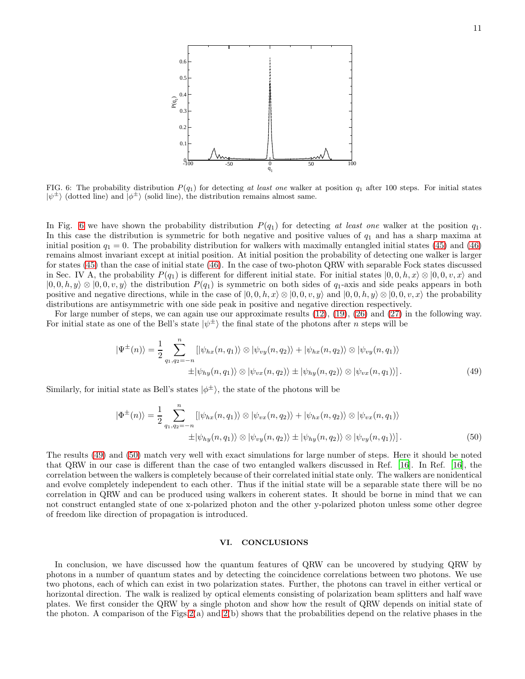

<span id="page-10-0"></span>FIG. 6: The probability distribution  $P(q_1)$  for detecting at least one walker at position  $q_1$  after 100 steps. For initial states  $|\psi^{\pm}\rangle$  (dotted line) and  $|\phi^{\pm}\rangle$  (solid line), the distribution remains almost same.

In Fig. [6](#page-10-0) we have shown the probability distribution  $P(q_1)$  for detecting at least one walker at the position  $q_1$ . In this case the distribution is symmetric for both negative and positive values of  $q_1$  and has a sharp maxima at initial position  $q_1 = 0$ . The probability distribution for walkers with maximally entangled initial states [\(45\)](#page-9-0) and [\(46\)](#page-9-0) remains almost invariant except at initial position. At initial position the probability of detecting one walker is larger for states [\(45\)](#page-9-0) than the case of initial state [\(46\)](#page-9-0). In the case of two-photon QRW with separable Fock states discussed in Sec. IV A, the probability  $P(q_1)$  is different for different initial state. For initial states  $|0,0,h,x\rangle \otimes |0,0,v,x\rangle$  and  $|0, 0, h, y\rangle \otimes |0, 0, v, y\rangle$  the distribution  $P(q_1)$  is symmetric on both sides of  $q_1$ -axis and side peaks appears in both positive and negative directions, while in the case of  $|0, 0, h, x\rangle \otimes |0, 0, v, y\rangle$  and  $|0, 0, h, y\rangle \otimes |0, 0, v, x\rangle$  the probability distributions are antisymmetric with one side peak in positive and negative direction respectively.

For large number of steps, we can again use our approximate results [\(12\)](#page-4-0), [\(19\)](#page-4-1), [\(26\)](#page-4-2) and [\(27\)](#page-4-2) in the following way. For initial state as one of the Bell's state  $|\psi^{\pm}\rangle$  the final state of the photons after *n* steps will be

<span id="page-10-1"></span>
$$
|\Psi^{\pm}(n)\rangle = \frac{1}{2} \sum_{q_1, q_2 = -n}^{n} [|\psi_{hx}(n, q_1)\rangle \otimes |\psi_{vy}(n, q_2)\rangle + |\psi_{hx}(n, q_2)\rangle \otimes |\psi_{vy}(n, q_1)\rangle
$$
  
 
$$
\pm |\psi_{hy}(n, q_1)\rangle \otimes |\psi_{vx}(n, q_2)\rangle \pm |\psi_{hy}(n, q_2)\rangle \otimes |\psi_{vx}(n, q_1)\rangle]. \tag{49}
$$

Similarly, for initial state as Bell's states  $|\phi^{\pm}\rangle$ , the state of the photons will be

<span id="page-10-2"></span>
$$
|\Phi^{\pm}(n)\rangle = \frac{1}{2} \sum_{q_1, q_2 = -n}^{n} [|\psi_{hx}(n, q_1)\rangle \otimes |\psi_{vx}(n, q_2)\rangle + |\psi_{hx}(n, q_2)\rangle \otimes |\psi_{vx}(n, q_1)\rangle
$$
  
 
$$
\pm |\psi_{hy}(n, q_1)\rangle \otimes |\psi_{vy}(n, q_2)\rangle \pm |\psi_{hy}(n, q_2)\rangle \otimes |\psi_{vy}(n, q_1)\rangle]. \tag{50}
$$

The results [\(49\)](#page-10-1) and [\(50\)](#page-10-2) match very well with exact simulations for large number of steps. Here it should be noted that QRW in our case is different than the case of two entangled walkers discussed in Ref. [\[16\]](#page-14-7). In Ref. [\[16\]](#page-14-7), the correlation between the walkers is completely because of their correlated initial state only. The walkers are nonidentical and evolve completely independent to each other. Thus if the initial state will be a separable state there will be no correlation in QRW and can be produced using walkers in coherent states. It should be borne in mind that we can not construct entangled state of one x-polarized photon and the other y-polarized photon unless some other degree of freedom like direction of propagation is introduced.

# VI. CONCLUSIONS

In conclusion, we have discussed how the quantum features of QRW can be uncovered by studying QRW by photons in a number of quantum states and by detecting the coincidence correlations between two photons. We use two photons, each of which can exist in two polarization states. Further, the photons can travel in either vertical or horizontal direction. The walk is realized by optical elements consisting of polarization beam splitters and half wave plates. We first consider the QRW by a single photon and show how the result of QRW depends on initial state of the photon. A comparison of the Figs.  $2(a)$  and  $2(b)$  shows that the probabilities depend on the relative phases in the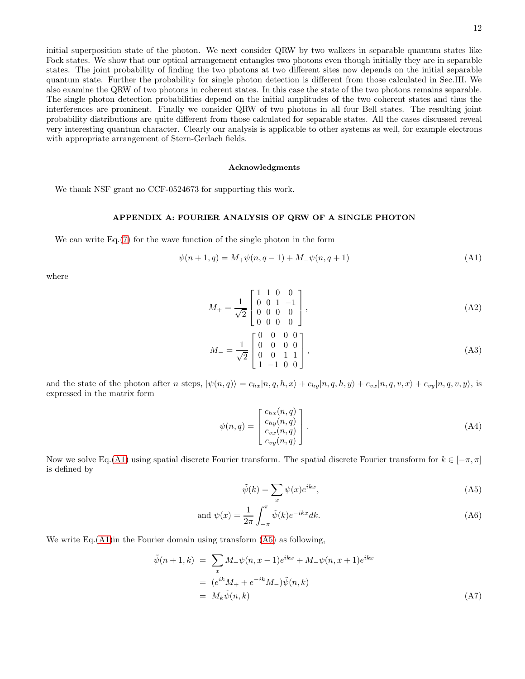initial superposition state of the photon. We next consider QRW by two walkers in separable quantum states like Fock states. We show that our optical arrangement entangles two photons even though initially they are in separable states. The joint probability of finding the two photons at two different sites now depends on the initial separable quantum state. Further the probability for single photon detection is different from those calculated in Sec.III. We also examine the QRW of two photons in coherent states. In this case the state of the two photons remains separable. The single photon detection probabilities depend on the initial amplitudes of the two coherent states and thus the interferences are prominent. Finally we consider QRW of two photons in all four Bell states. The resulting joint probability distributions are quite different from those calculated for separable states. All the cases discussed reveal very interesting quantum character. Clearly our analysis is applicable to other systems as well, for example electrons with appropriate arrangement of Stern-Gerlach fields.

### Acknowledgments

We thank NSF grant no CCF-0524673 for supporting this work.

### APPENDIX A: FOURIER ANALYSIS OF QRW OF A SINGLE PHOTON

We can write Eq.[\(7\)](#page-2-3) for the wave function of the single photon in the form

<span id="page-11-0"></span>
$$
\psi(n+1,q) = M_+\psi(n,q-1) + M_-\psi(n,q+1)
$$
\n(A1)

where

$$
M_{+} = \frac{1}{\sqrt{2}} \begin{bmatrix} 1 & 1 & 0 & 0 \\ 0 & 0 & 1 & -1 \\ 0 & 0 & 0 & 0 \\ 0 & 0 & 0 & 0 \end{bmatrix},
$$
 (A2)

$$
M_{-} = \frac{1}{\sqrt{2}} \begin{bmatrix} 0 & 0 & 0 & 0 \\ 0 & 0 & 0 & 0 \\ 0 & 0 & 1 & 1 \\ 1 & -1 & 0 & 0 \end{bmatrix},
$$
 (A3)

and the state of the photon after n steps,  $|\psi(n,q)\rangle = c_{hx}|n, q, h, x\rangle + c_{hy}|n, q, h, y\rangle + c_{vx}|n, q, v, x\rangle + c_{vy}|n, q, v, y\rangle$ , is expressed in the matrix form

$$
\psi(n,q) = \begin{bmatrix} c_{hx}(n,q) \\ c_{hy}(n,q) \\ c_{vx}(n,q) \\ c_{vy}(n,q) \end{bmatrix} .
$$
\n(A4)

Now we solve Eq.[\(A1\)](#page-11-0) using spatial discrete Fourier transform. The spatial discrete Fourier transform for  $k \in [-\pi, \pi]$ is defined by

<span id="page-11-1"></span>
$$
\tilde{\psi}(k) = \sum_{x} \psi(x)e^{ikx},\tag{A5}
$$

and 
$$
\psi(x) = \frac{1}{2\pi} \int_{-\pi}^{\pi} \tilde{\psi}(k) e^{-ikx} dk.
$$
 (A6)

We write Eq.  $(A1)$  in the Fourier domain using transform  $(A5)$  as following,

<span id="page-11-2"></span>
$$
\tilde{\psi}(n+1,k) = \sum_{x} M_{+} \psi(n,x-1) e^{ikx} + M_{-} \psi(n,x+1) e^{ikx}
$$
  
=  $(e^{ik} M_{+} + e^{-ik} M_{-}) \tilde{\psi}(n,k)$   
=  $M_{k} \tilde{\psi}(n,k)$  (A7)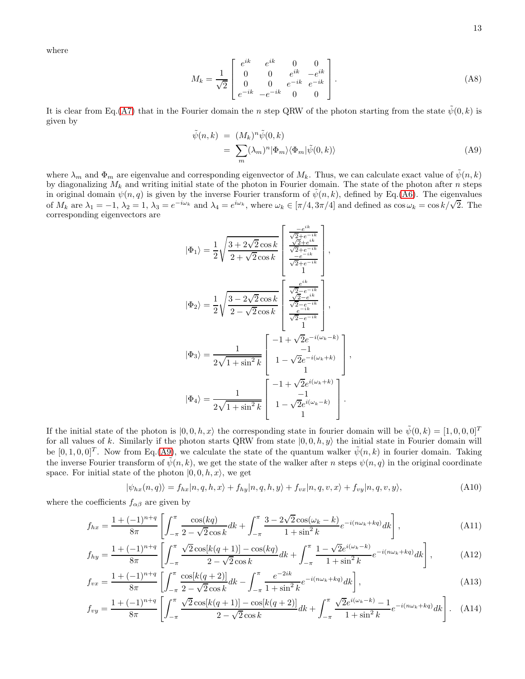where

$$
M_k = \frac{1}{\sqrt{2}} \begin{bmatrix} e^{ik} & e^{ik} & 0 & 0\\ 0 & 0 & e^{ik} & -e^{ik}\\ 0 & 0 & e^{-ik} & e^{-ik}\\ e^{-ik} & -e^{-ik} & 0 & 0 \end{bmatrix} .
$$
 (A8)

It is clear from Eq.[\(A7\)](#page-11-2) that in the Fourier domain the n step QRW of the photon starting from the state  $\tilde{\psi}(0, k)$  is given by

<span id="page-12-0"></span>
$$
\tilde{\psi}(n,k) = (M_k)^n \tilde{\psi}(0,k) \n= \sum_m (\lambda_m)^n |\Phi_m\rangle \langle \Phi_m | \tilde{\psi}(0,k) \rangle
$$
\n(A9)

,

where  $\lambda_m$  and  $\Phi_m$  are eigenvalue and corresponding eigenvector of  $M_k$ . Thus, we can calculate exact value of  $\tilde{\psi}(n,k)$ by diagonalizing  $M_k$  and writing initial state of the photon in Fourier domain. The state of the photon after n steps in original domain  $\psi(n, q)$  is given by the inverse Fourier transform of  $\psi(n, k)$ , defined by Eq.[\(A6\)](#page-11-1). The eigenvalues of  $M_k$  are  $\lambda_1 = -1$ ,  $\lambda_2 = 1$ ,  $\lambda_3 = e^{-i\omega_k}$  and  $\lambda_4 = e^{i\omega_k}$ , where  $\omega_k \in [\pi/4, 3\pi/4]$  and defined as  $\cos \omega_k = \cos k/\sqrt{2}$ . The corresponding eigenvectors are

$$
\left|\Phi_{1}\right\rangle = \frac{1}{2}\sqrt{\frac{3+2\sqrt{2}\cos k}{2+\sqrt{2}\cos k}}\left[\begin{array}{c}\frac{-e^{ik}}{\sqrt{2}+e^{-ik}}\\ \frac{\sqrt{2}+e^{-ik}}{\sqrt{2}+e^{-ik}}\\ \frac{-e^{-ik}}{\sqrt{2}+e^{-ik}}\\ 1\end{array}\right],
$$
\n
$$
\left|\Phi_{2}\right\rangle = \frac{1}{2}\sqrt{\frac{3-2\sqrt{2}\cos k}{2-\sqrt{2}\cos k}}\left[\begin{array}{c}\frac{e^{ik}}{\sqrt{2}-e^{-ik}}\\ \frac{\sqrt{2}-e^{-ik}}{\sqrt{2}-e^{-ik}}\\ \frac{e^{-ik}}{\sqrt{2}-e^{-ik}}\\ 1\end{array}\right],
$$
\n
$$
\left|\Phi_{3}\right\rangle = \frac{1}{2\sqrt{1+\sin^{2}k}}\left[\begin{array}{c} -1+\sqrt{2}e^{-i(\omega_{k}-k)}\\ 1-\sqrt{2}e^{-i(\omega_{k}+k)}\\ 1\end{array}\right]
$$
\n
$$
\left|\Phi_{4}\right\rangle = \frac{1}{2\sqrt{1+\sin^{2}k}}\left[\begin{array}{c} -1+\sqrt{2}e^{i(\omega_{k}+k)}\\ 1-\sqrt{2}e^{i(\omega_{k}+k)}\\ 1\end{array}\right].
$$

If the initial state of the photon is  $(0, 0, h, x)$  the corresponding state in fourier domain will be  $\tilde{\psi}(0, k) = [1, 0, 0, 0]^T$ for all values of k. Similarly if the photon starts QRW from state  $|0, 0, h, y\rangle$  the initial state in Fourier domain will be  $[0, 1, 0, 0]^T$ . Now from Eq.[\(A9\)](#page-12-0), we calculate the state of the quantum walker  $\tilde{\psi}(n, k)$  in fourier domain. Taking the inverse Fourier transform of  $\tilde{\psi}(n, k)$ , we get the state of the walker after n steps  $\psi(n, q)$  in the original coordinate space. For initial state of the photon  $(0, 0, h, x)$ , we get

$$
|\psi_{hx}(n,q)\rangle = f_{hx}|n,q,h,x\rangle + f_{hy}|n,q,h,y\rangle + f_{vx}|n,q,v,x\rangle + f_{vy}|n,q,v,y\rangle,
$$
\n(A10)

where the coefficients  $f_{\alpha\beta}$  are given by

$$
f_{hx} = \frac{1 + (-1)^{n+q}}{8\pi} \left[ \int_{-\pi}^{\pi} \frac{\cos(kq)}{2 - \sqrt{2}\cos k} dk + \int_{-\pi}^{\pi} \frac{3 - 2\sqrt{2}\cos(\omega_k - k)}{1 + \sin^2 k} e^{-i(n\omega_k + kq)} dk \right],
$$
(A11)

$$
f_{hy} = \frac{1 + (-1)^{n+q}}{8\pi} \left[ \int_{-\pi}^{\pi} \frac{\sqrt{2}\cos[k(q+1)] - \cos(kq)}{2 - \sqrt{2}\cos k} dk + \int_{-\pi}^{\pi} \frac{1 - \sqrt{2}e^{i(\omega_k - k)}}{1 + \sin^2 k} e^{-i(n\omega_k + kq)} dk \right],
$$
(A12)

$$
f_{vx} = \frac{1 + (-1)^{n+q}}{8\pi} \left[ \int_{-\pi}^{\pi} \frac{\cos[k(q+2)]}{2 - \sqrt{2}\cos k} dk - \int_{-\pi}^{\pi} \frac{e^{-2ik}}{1 + \sin^2 k} e^{-i(n\omega_k + kq)} dk \right],
$$
(A13)

$$
f_{vy} = \frac{1 + (-1)^{n+q}}{8\pi} \left[ \int_{-\pi}^{\pi} \frac{\sqrt{2}\cos[k(q+1)] - \cos[k(q+2)]}{2 - \sqrt{2}\cos k} dk + \int_{-\pi}^{\pi} \frac{\sqrt{2}e^{i(\omega_k - k)} - 1}{1 + \sin^2 k} e^{-i(n\omega_k + kq)} dk \right].
$$
 (A14)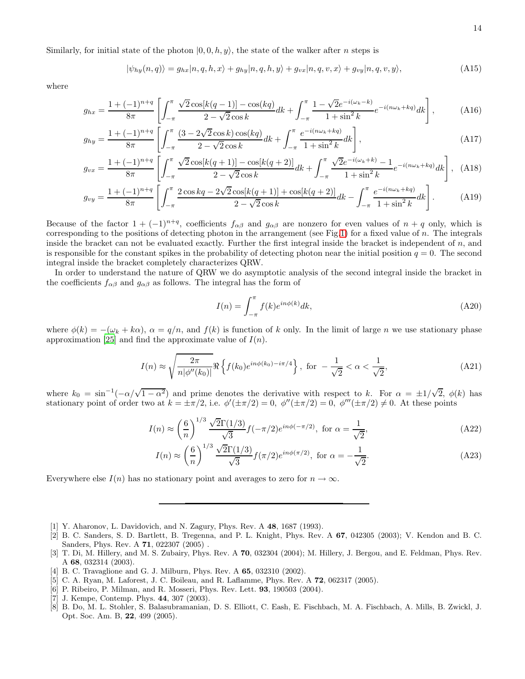Similarly, for initial state of the photon  $(0, 0, h, y)$ , the state of the walker after n steps is

$$
|\psi_{hy}(n,q)\rangle = g_{hx}|n,q,h,x\rangle + g_{hy}|n,q,h,y\rangle + g_{vx}|n,q,v,x\rangle + g_{vy}|n,q,v,y\rangle,
$$
\n(A15)

where

$$
g_{hx} = \frac{1 + (-1)^{n+q}}{8\pi} \left[ \int_{-\pi}^{\pi} \frac{\sqrt{2}\cos[k(q-1)] - \cos(kq)}{2 - \sqrt{2}\cos k} dk + \int_{-\pi}^{\pi} \frac{1 - \sqrt{2}e^{-i(\omega_k - k)}}{1 + \sin^2 k} e^{-i(n\omega_k + kq)} dk \right],
$$
(A16)

$$
g_{hy} = \frac{1 + (-1)^{n+q}}{8\pi} \left[ \int_{-\pi}^{\pi} \frac{(3 - 2\sqrt{2}\cos k)\cos(kq)}{2 - \sqrt{2}\cos k} dk + \int_{-\pi}^{\pi} \frac{e^{-i(n\omega_k + kq)}}{1 + \sin^2 k} dk \right],
$$
(A17)

$$
g_{vx} = \frac{1 + (-1)^{n+q}}{8\pi} \left[ \int_{-\pi}^{\pi} \frac{\sqrt{2}\cos[k(q+1)] - \cos[k(q+2)]}{2 - \sqrt{2}\cos k} dk + \int_{-\pi}^{\pi} \frac{\sqrt{2}e^{-i(\omega_k + k)} - 1}{1 + \sin^2 k} e^{-i(n\omega_k + kq)} dk \right], \quad (A18)
$$

$$
g_{vy} = \frac{1 + (-1)^{n+q}}{8\pi} \left[ \int_{-\pi}^{\pi} \frac{2\cos kq - 2\sqrt{2}\cos[k(q+1)] + \cos[k(q+2)]}{2 - \sqrt{2}\cos k} dk - \int_{-\pi}^{\pi} \frac{e^{-i(n\omega_k + kq)}}{1 + \sin^2 k} dk \right].
$$
 (A19)

Because of the factor  $1 + (-1)^{n+q}$ , coefficients  $f_{\alpha\beta}$  and  $g_{\alpha\beta}$  are nonzero for even values of  $n+q$  only, which is corresponding to the positions of detecting photon in the arrangement (see Fig[.1\)](#page-1-0) for a fixed value of  $n$ . The integrals inside the bracket can not be evaluated exactly. Further the first integral inside the bracket is independent of  $n$ , and is responsible for the constant spikes in the probability of detecting photon near the initial position  $q = 0$ . The second integral inside the bracket completely characterizes QRW.

In order to understand the nature of QRW we do asymptotic analysis of the second integral inside the bracket in the coefficients  $f_{\alpha\beta}$  and  $g_{\alpha\beta}$  as follows. The integral has the form of

$$
I(n) = \int_{-\pi}^{\pi} f(k)e^{in\phi(k)}dk,
$$
\n(A20)

where  $\phi(k) = -(\omega_k + k\alpha)$ ,  $\alpha = q/n$ , and  $f(k)$  is function of k only. In the limit of large n we use stationary phase approximation [\[25](#page-14-16)] and find the approximate value of  $I(n)$ .

$$
I(n) \approx \sqrt{\frac{2\pi}{n|\phi''(k_0)|}} \Re\left\{ f(k_0) e^{in\phi(k_0) - i\pi/4} \right\}, \text{ for } -\frac{1}{\sqrt{2}} < \alpha < \frac{1}{\sqrt{2}},
$$
 (A21)

where  $k_0 = \sin^{-1}(-\alpha/\sqrt{1-\alpha^2})$  and prime denotes the derivative with respect to k. For  $\alpha = \pm 1/\sqrt{2}$ ,  $\phi(k)$  has stationary point of order two at  $k = \pm \pi/2$ , i.e.  $\phi'(\pm \pi/2) = 0$ ,  $\phi''(\pm \pi/2) = 0$ ,  $\phi'''(\pm \pi/2) \neq 0$ . At these points

$$
I(n) \approx \left(\frac{6}{n}\right)^{1/3} \frac{\sqrt{2}\Gamma(1/3)}{\sqrt{3}} f(-\pi/2) e^{in\phi(-\pi/2)}, \text{ for } \alpha = \frac{1}{\sqrt{2}},\tag{A22}
$$

$$
I(n) \approx \left(\frac{6}{n}\right)^{1/3} \frac{\sqrt{2}\Gamma(1/3)}{\sqrt{3}} f(\pi/2) e^{in\phi(\pi/2)}, \text{ for } \alpha = -\frac{1}{\sqrt{2}}.
$$
 (A23)

Everywhere else  $I(n)$  has no stationary point and averages to zero for  $n \to \infty$ .

- <span id="page-13-0"></span>[1] Y. Aharonov, L. Davidovich, and N. Zagury, Phys. Rev. A 48, 1687 (1993).
- <span id="page-13-1"></span>[2] B. C. Sanders, S. D. Bartlett, B. Tregenna, and P. L. Knight, Phys. Rev. A 67, 042305 (2003); V. Kendon and B. C. Sanders, Phys. Rev. A 71, 022307 (2005) .
- <span id="page-13-2"></span>[3] T. Di, M. Hillery, and M. S. Zubairy, Phys. Rev. A 70, 032304 (2004); M. Hillery, J. Bergou, and E. Feldman, Phys. Rev. A 68, 032314 (2003).
- <span id="page-13-3"></span>[4] B. C. Travaglione and G. J. Milburn, Phys. Rev. A **65**, 032310 (2002).
- <span id="page-13-4"></span>[5] C. A. Ryan, M. Laforest, J. C. Boileau, and R. Laflamme, Phys. Rev. A 72, 062317 (2005).
- <span id="page-13-5"></span>[6] P. Ribeiro, P. Milman, and R. Mosseri, Phys. Rev. Lett. 93, 190503 (2004).
- <span id="page-13-6"></span>[7] J. Kempe, Contemp. Phys. 44, 307 (2003).
- <span id="page-13-7"></span>[8] B. Do, M. L. Stohler, S. Balasubramanian, D. S. Elliott, C. Eash, E. Fischbach, M. A. Fischbach, A. Mills, B. Zwickl, J. Opt. Soc. Am. B, 22, 499 (2005).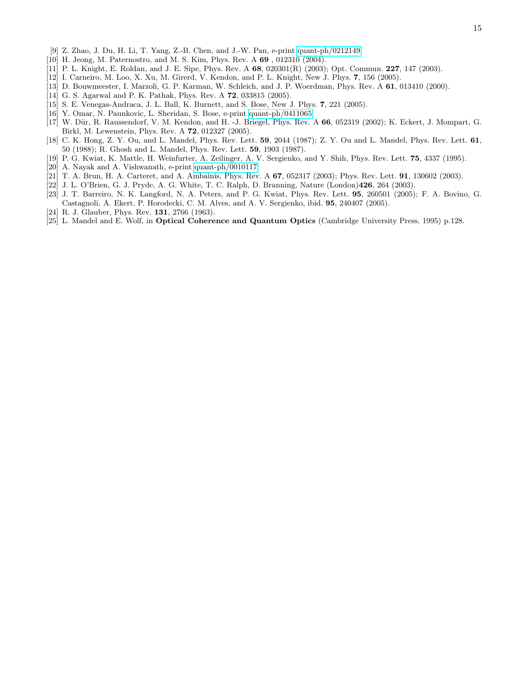- <span id="page-14-0"></span>[9] Z. Zhao, J. Du, H. Li, T. Yang, Z.-B. Chen, and J.-W. Pan, e-print [quant-ph/0212149.](http://arXiv.org/abs/quant-ph/0212149)
- <span id="page-14-1"></span>[10] H. Jeong, M. Paternostro, and M. S. Kim, Phys. Rev. A 69 , 012310 (2004).
- <span id="page-14-2"></span>[11] P. L. Knight, E. Roldan, and J. E. Sipe, Phys. Rev. A 68, 020301(R) (2003); Opt. Commun. 227, 147 (2003).
- <span id="page-14-3"></span>[12] I. Carneiro, M. Loo, X. Xu, M. Girerd, V. Kendon, and P. L. Knight, New J. Phys. 7, 156 (2005).
- <span id="page-14-4"></span>[13] D. Bouwmeester, I. Marzoli, G. P. Karman, W. Schleich, and J. P. Woerdman, Phys. Rev. A 61, 013410 (2000).
- <span id="page-14-5"></span>[14] G. S. Agarwal and P. K. Pathak, Phys. Rev. A 72, 033815 (2005).
- <span id="page-14-6"></span>[15] S. E. Venegas-Andraca, J. L. Ball, K. Burnett, and S. Bose, New J. Phys. 7, 221 (2005).
- <span id="page-14-7"></span>[16] Y. Omar, N. Paunkovic, L. Sheridan, S. Bose, e-print [quant-ph/0411065.](http://arXiv.org/abs/quant-ph/0411065)
- <span id="page-14-8"></span>[17] W. Dür, R. Raussendorf, V. M. Kendon, and H. -J. Briegel, Phys. Rev. A 66, 052319 (2002); K. Eckert, J. Mompart, G. Birkl, M. Lewenstein, Phys. Rev. A 72, 012327 (2005).
- <span id="page-14-9"></span>[18] C. K. Hong, Z. Y. Ou, and L. Mandel, Phys. Rev. Lett. 59, 2044 (1987); Z. Y. Ou and L. Mandel, Phys. Rev. Lett. 61, 50 (1988); R. Ghosh and L. Mandel, Phys. Rev. Lett. 59, 1903 (1987).
- <span id="page-14-10"></span>[19] P. G. Kwiat, K. Mattle, H. Weinfurter, A. Zeilinger, A. V. Sergienko, and Y. Shih, Phys. Rev. Lett. 75, 4337 (1995).
- <span id="page-14-11"></span>[20] A. Nayak and A. Vishwanath, e-print [quant-ph/0010117.](http://arXiv.org/abs/quant-ph/0010117)
- <span id="page-14-12"></span>[21] T. A. Brun, H. A. Carteret, and A. Ambainis, Phys. Rev. A 67, 052317 (2003); Phys. Rev. Lett. 91, 130602 (2003).
- <span id="page-14-13"></span>[22] J. L. O'Brien, G. J. Pryde, A. G. White, T. C. Ralph, D. Branning, Nature (London)426, 264 (2003).
- <span id="page-14-15"></span>[23] J. T. Barreiro, N. K. Langford, N. A. Peters, and P. G. Kwiat, Phys. Rev. Lett. 95, 260501 (2005); F. A. Bovino, G. Castagnoli, A. Ekert, P. Horodecki, C. M. Alves, and A. V. Sergienko, ibid. 95, 240407 (2005).
- <span id="page-14-14"></span>[24] R. J. Glauber, Phys. Rev. 131, 2766 (1963).
- <span id="page-14-16"></span>[25] L. Mandel and E. Wolf, in Optical Coherence and Quantum Optics (Cambridge University Press, 1995) p.128.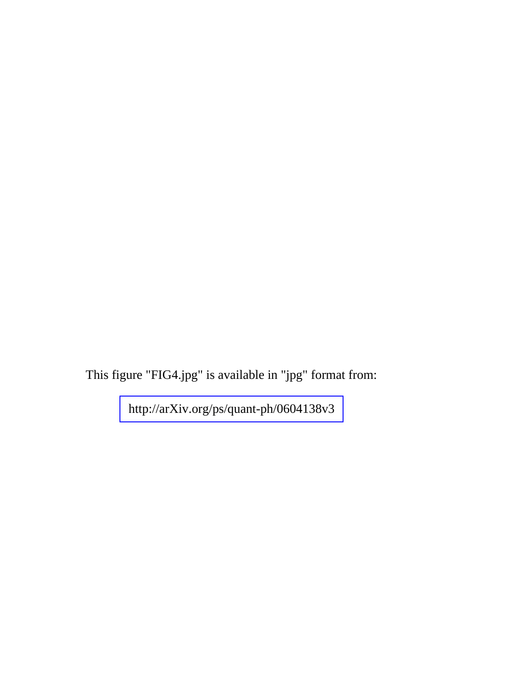This figure "FIG4.jpg" is available in "jpg" format from:

<http://arXiv.org/ps/quant-ph/0604138v3>